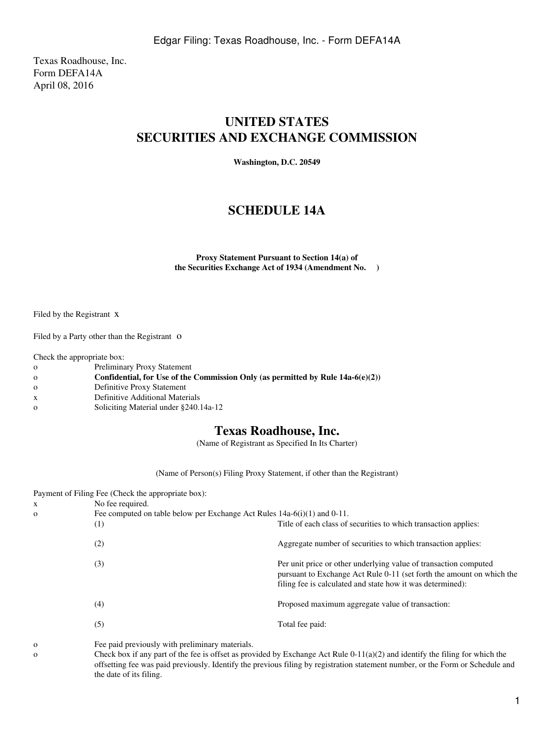Texas Roadhouse, Inc. Form DEFA14A April 08, 2016

## **UNITED STATES SECURITIES AND EXCHANGE COMMISSION**

**Washington, D.C. 20549**

## **SCHEDULE 14A**

**Proxy Statement Pursuant to Section 14(a) of the Securities Exchange Act of 1934 (Amendment No. )**

Filed by the Registrant x

Filed by a Party other than the Registrant O

Check the appropriate box:

- o Preliminary Proxy Statement
- o **Confidential, for Use of the Commission Only (as permitted by Rule 14a-6(e)(2))**
- o Definitive Proxy Statement
- x Definitive Additional Materials
- o Soliciting Material under §240.14a-12

## **Texas Roadhouse, Inc.**

(Name of Registrant as Specified In Its Charter)

(Name of Person(s) Filing Proxy Statement, if other than the Registrant)

| Payment of Filing Fee (Check the appropriate box): |                                                                               |                                                                                                                                                                                                         |
|----------------------------------------------------|-------------------------------------------------------------------------------|---------------------------------------------------------------------------------------------------------------------------------------------------------------------------------------------------------|
| X                                                  | No fee required.                                                              |                                                                                                                                                                                                         |
| $\mathbf{O}$                                       | Fee computed on table below per Exchange Act Rules $14a-6(i)(1)$ and $0-11$ . |                                                                                                                                                                                                         |
|                                                    | (1)                                                                           | Title of each class of securities to which transaction applies:                                                                                                                                         |
|                                                    | (2)                                                                           | Aggregate number of securities to which transaction applies:                                                                                                                                            |
|                                                    | (3)                                                                           | Per unit price or other underlying value of transaction computed<br>pursuant to Exchange Act Rule 0-11 (set forth the amount on which the<br>filing fee is calculated and state how it was determined): |
|                                                    | (4)                                                                           | Proposed maximum aggregate value of transaction:                                                                                                                                                        |
|                                                    | (5)                                                                           | Total fee paid:                                                                                                                                                                                         |
|                                                    |                                                                               |                                                                                                                                                                                                         |

o Fee paid previously with preliminary materials.

o Check box if any part of the fee is offset as provided by Exchange Act Rule 0-11(a)(2) and identify the filing for which the offsetting fee was paid previously. Identify the previous filing by registration statement number, or the Form or Schedule and the date of its filing.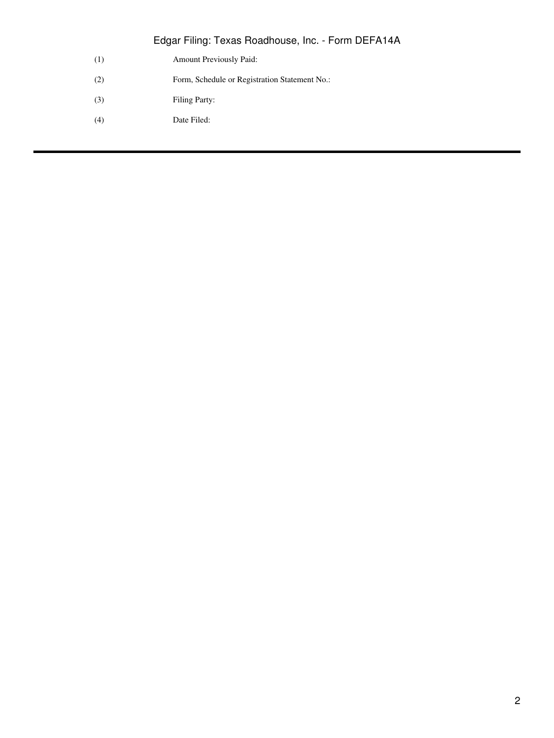Edgar Filing: Texas Roadhouse, Inc. - Form DEFA14A

- (1) Amount Previously Paid:
- (2) Form, Schedule or Registration Statement No.:
- (3) Filing Party:
- (4) Date Filed: